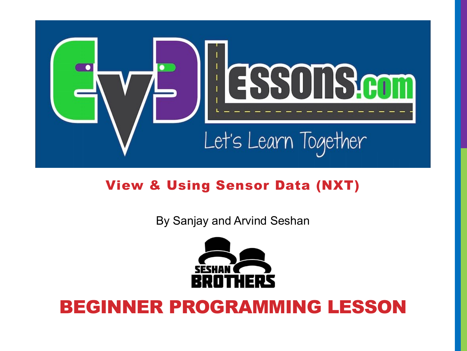

### View & Using Sensor Data (NXT)

By Sanjay and Arvind Seshan



### BEGINNER PROGRAMMING LESSON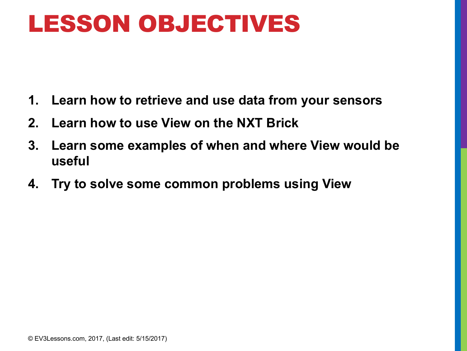## LESSON OBJECTIVES

- **1. Learn how to retrieve and use data from your sensors**
- **2. Learn how to use View on the NXT Brick**
- **3. Learn some examples of when and where View would be useful**
- **4. Try to solve some common problems using View**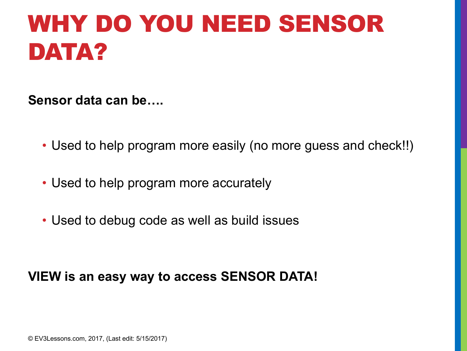## WHY DO YOU NEED SENSOR DATA?

**Sensor data can be….**

- Used to help program more easily (no more guess and check!!)
- Used to help program more accurately
- Used to debug code as well as build issues

### **VIEW is an easy way to access SENSOR DATA!**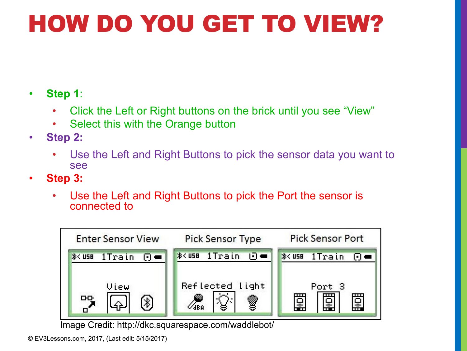# HOW DO YOU GET TO VIEW?

- **Step 1**:
	- Click the Left or Right buttons on the brick until you see "View"
	- Select this with the Orange button
- **Step 2:** 
	- Use the Left and Right Buttons to pick the sensor data you want to see
- **Step 3:**
	- Use the Left and Right Buttons to pick the Port the sensor is connected to



Image Credit: http://dkc.squarespace.com/waddlebot/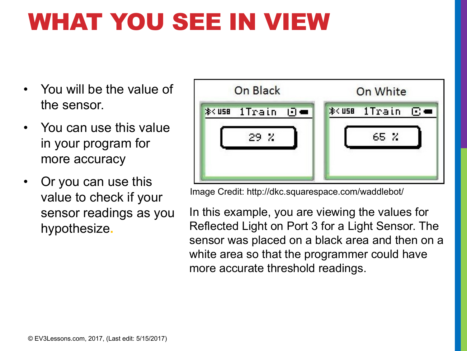# WHAT YOU SEE IN VIEW

- You will be the value of the sensor.
- You can use this value in your program for more accuracy
- Or you can use this value to check if your sensor readings as you hypothesize**.**



Image Credit: http://dkc.squarespace.com/waddlebot/

In this example, you are viewing the values for Reflected Light on Port 3 for a Light Sensor. The sensor was placed on a black area and then on a white area so that the programmer could have more accurate threshold readings.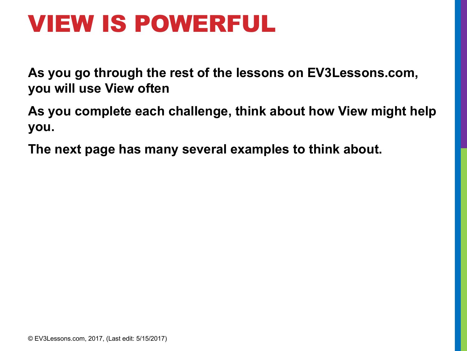## VIEW IS POWERFUL

**As you go through the rest of the lessons on EV3Lessons.com, you will use View often**

**As you complete each challenge, think about how View might help you.**

**The next page has many several examples to think about.**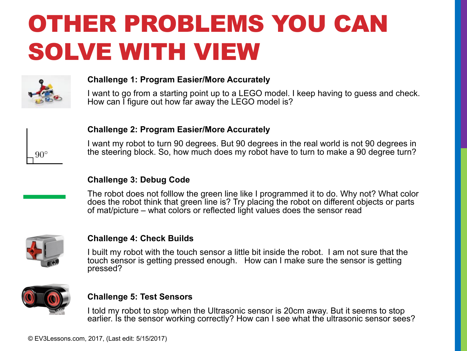# OTHER PROBLEMS YOU CAN SOLVE WITH VIEW



#### **Challenge 1: Program Easier/More Accurately**

I want to go from a starting point up to a LEGO model. I keep having to guess and check. How can I figure out how far away the LEGO model is?



### **Challenge 2: Program Easier/More Accurately**

I want my robot to turn 90 degrees. But 90 degrees in the real world is not 90 degrees in the steering block. So, how much does my robot have to turn to make a 90 degree turn?

### **Challenge 3: Debug Code**

The robot does not folllow the green line like I programmed it to do. Why not? What color does the robot think that green line is? Try placing the robot on different objects or parts of mat/picture – what colors or reflected light values does the sensor read



#### **Challenge 4: Check Builds**

I built my robot with the touch sensor a little bit inside the robot. I am not sure that the touch sensor is getting pressed enough. How can I make sure the sensor is getting pressed?



### **Challenge 5: Test Sensors**

I told my robot to stop when the Ultrasonic sensor is 20cm away. But it seems to stop earlier. Is the sensor working correctly? How can I see what the ultrasonic sensor sees?